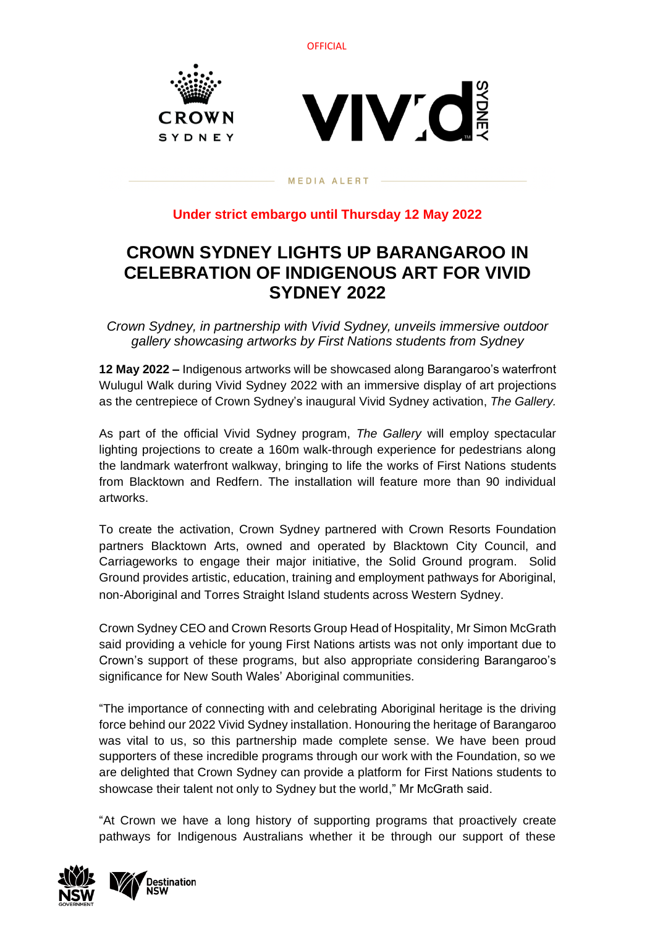





#### MEDIA ALERT

## **Under strict embargo until Thursday 12 May 2022**

# **CROWN SYDNEY LIGHTS UP BARANGAROO IN CELEBRATION OF INDIGENOUS ART FOR VIVID SYDNEY 2022**

*Crown Sydney, in partnership with Vivid Sydney, unveils immersive outdoor gallery showcasing artworks by First Nations students from Sydney*

**12 May 2022 –** Indigenous artworks will be showcased along Barangaroo's waterfront Wulugul Walk during Vivid Sydney 2022 with an immersive display of art projections as the centrepiece of Crown Sydney's inaugural Vivid Sydney activation, *The Gallery.*

As part of the official Vivid Sydney program, *The Gallery* will employ spectacular lighting projections to create a 160m walk-through experience for pedestrians along the landmark waterfront walkway, bringing to life the works of First Nations students from Blacktown and Redfern. The installation will feature more than 90 individual artworks.

To create the activation, Crown Sydney partnered with Crown Resorts Foundation partners Blacktown Arts, owned and operated by Blacktown City Council, and Carriageworks to engage their major initiative, the Solid Ground program. Solid Ground provides artistic, education, training and employment pathways for Aboriginal, non-Aboriginal and Torres Straight Island students across Western Sydney.

Crown Sydney CEO and Crown Resorts Group Head of Hospitality, Mr Simon McGrath said providing a vehicle for young First Nations artists was not only important due to Crown's support of these programs, but also appropriate considering Barangaroo's significance for New South Wales' Aboriginal communities.

"The importance of connecting with and celebrating Aboriginal heritage is the driving force behind our 2022 Vivid Sydney installation. Honouring the heritage of Barangaroo was vital to us, so this partnership made complete sense. We have been proud supporters of these incredible programs through our work with the Foundation, so we are delighted that Crown Sydney can provide a platform for First Nations students to showcase their talent not only to Sydney but the world," Mr McGrath said.

"At Crown we have a long history of supporting programs that proactively create pathways for Indigenous Australians whether it be through our support of these



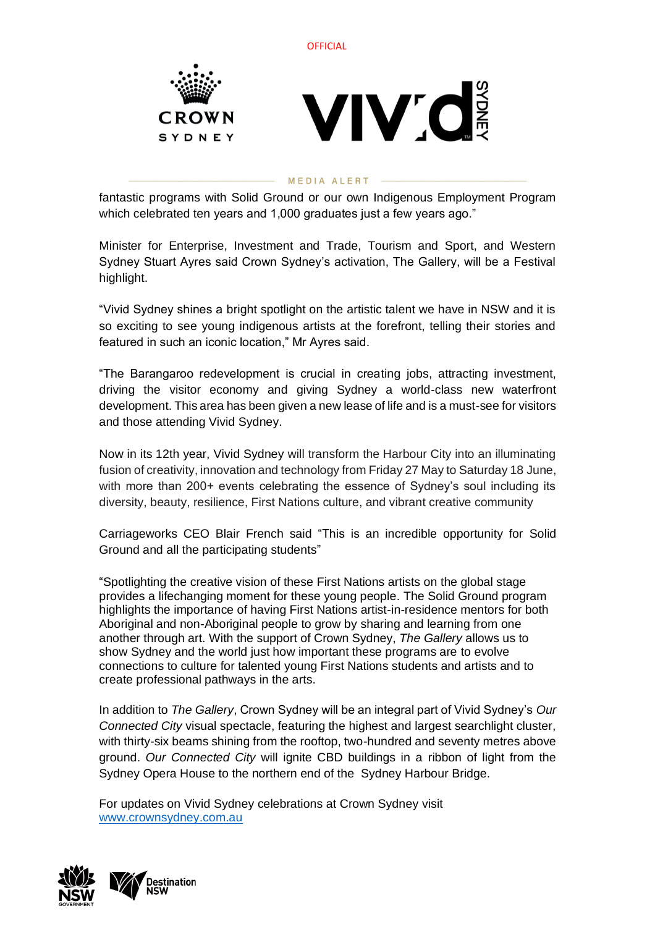

#### MEDIA ALERT

fantastic programs with Solid Ground or our own Indigenous Employment Program which celebrated ten years and 1,000 graduates just a few years ago."

Minister for Enterprise, Investment and Trade, Tourism and Sport, and Western Sydney Stuart Ayres said Crown Sydney's activation, The Gallery, will be a Festival highlight.

"Vivid Sydney shines a bright spotlight on the artistic talent we have in NSW and it is so exciting to see young indigenous artists at the forefront, telling their stories and featured in such an iconic location," Mr Ayres said.

"The Barangaroo redevelopment is crucial in creating jobs, attracting investment, driving the visitor economy and giving Sydney a world-class new waterfront development. This area has been given a new lease of life and is a must-see for visitors and those attending Vivid Sydney.

Now in its 12th year, Vivid Sydney will transform the Harbour City into an illuminating fusion of creativity, innovation and technology from Friday 27 May to Saturday 18 June, with more than 200+ events celebrating the essence of Sydney's soul including its diversity, beauty, resilience, First Nations culture, and vibrant creative community

Carriageworks CEO Blair French said "This is an incredible opportunity for Solid Ground and all the participating students"

"Spotlighting the creative vision of these First Nations artists on the global stage provides a lifechanging moment for these young people. The Solid Ground program highlights the importance of having First Nations artist-in-residence mentors for both Aboriginal and non-Aboriginal people to grow by sharing and learning from one another through art. With the support of Crown Sydney, *The Gallery* allows us to show Sydney and the world just how important these programs are to evolve connections to culture for talented young First Nations students and artists and to create professional pathways in the arts.

In addition to *The Gallery*, Crown Sydney will be an integral part of Vivid Sydney's *Our Connected City* visual spectacle, featuring the highest and largest searchlight cluster, with thirty-six beams shining from the rooftop, two-hundred and seventy metres above ground. *Our Connected City* will ignite CBD buildings in a ribbon of light from the Sydney Opera House to the northern end of the Sydney Harbour Bridge.

For updates on Vivid Sydney celebrations at Crown Sydney visit [www.crownsydney.com.au](http://www.crownsydney.com.au/)